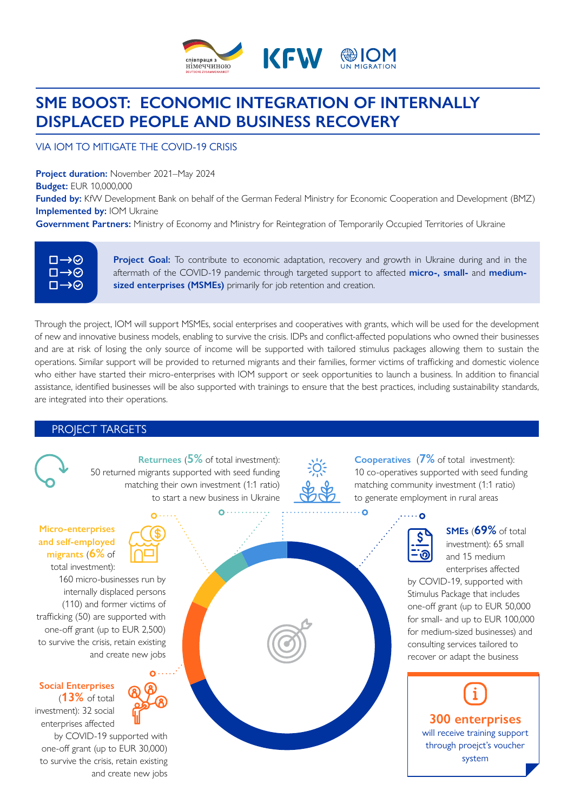

# **SME BOOST: ECONOMIC INTEGRATION OF INTERNALLY DISPLACED PEOPLE AND BUSINESS RECOVERY**

### VIA IOM TO MITIGATE THE COVID-19 CRISIS

**Project duration:** November 2021–May 2024 **Budget:** EUR 10,000,000

**Funded by:** KfW Development Bank on behalf of the German Federal Ministry for Economic Cooperation and Development (BMZ) **Implemented by: IOM Ukraine** 

**Government Partners:** Ministry of Economy and Ministry for Reintegration of Temporarily Occupied Territories of Ukraine

| ロ→⊘ |
|-----|
| ロータ |
| ロータ |
|     |

**Project Goal:** To contribute to economic adaptation, recovery and growth in Ukraine during and in the aftermath of the COVID-19 pandemic through targeted support to affected **micro-, small-** and **mediumsized enterprises (MSMEs)** primarily for job retention and creation.

Through the project, IOM will support MSMEs, social enterprises and cooperatives with grants, which will be used for the development of new and innovative business models, enabling to survive the crisis. IDPs and conflict-affected populations who owned their businesses and are at risk of losing the only source of income will be supported with tailored stimulus packages allowing them to sustain the operations. Similar support will be provided to returned migrants and their families, former victims of trafficking and domestic violence who either have started their micro-enterprises with IOM support or seek opportunities to launch a business. In addition to financial assistance, identified businesses will be also supported with trainings to ensure that the best practices, including sustainability standards, are integrated into their operations.

#### PROJECT TARGETS



**Returnees** (**5%** of total investment): 50 returned migrants supported with seed funding matching their own investment (1:1 ratio) to start a new business in Ukraine



 $\overline{O}$ 

**Cooperatives** (**7%** of total investment): 10 co-operatives supported with seed funding matching community investment (1:1 ratio) to generate employment in rural areas



**SMEs** (**69%** of total investment): 65 small and 15 medium enterprises affected

by COVID-19, supported with Stimulus Package that includes one-off grant (up to EUR 50,000 for small- and up to EUR 100,000 for medium-sized businesses) and consulting services tailored to recover or adapt the business



#### **Micro-enterprises and self-employed migrants** (**6%** of total investment):

160 micro-businesses run by internally displaced persons (110) and former victims of trafficking (50) are supported with one-off grant (up to EUR 2,500) to survive the crisis, retain existing and create new jobs

(**13%** of total investment): 32 social enterprises affected

**Social Enterprises** 

by COVID-19 supported with one-off grant (up to EUR 30,000) to survive the crisis, retain existing and create new jobs